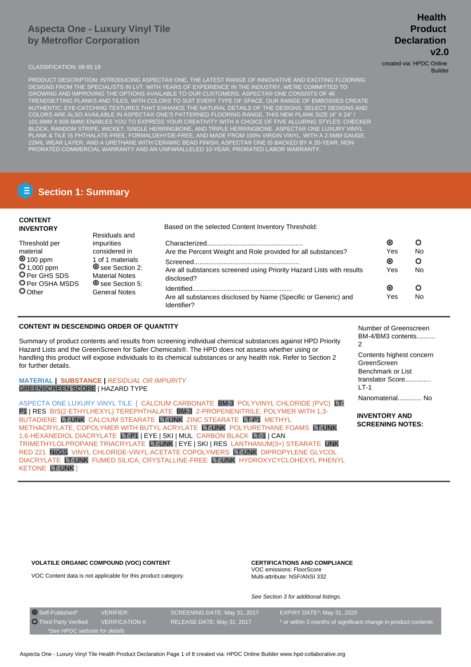# **Aspecta One - Luxury Vinyl Tile by Metroflor Corporation**

PRODUCT DESCRIPTION: INTRODUCING ASPECTA® ONE, THE LATEST RANGE OF INNOVATIVE AND EXCITING FLOORING DESIGNS FROM THE SPECIALISTS IN LVT. WITH YEARS OF EXPERIENCE IN THE INDUSTRY, WE'RE COMMITTED TO GROWING AND IMPROVING THE OPTIONS AVAILABLE TO OUR CUSTOMERS. ASPECTA® ONE CONSISTS OF 46 TRENDSETTING PLANKS AND TILES, WITH COLORS TO SUIT EVERY TYPE OF SPACE. OUR RANGE OF EMBOSSES CREATE AUTHENTIC, EYE-CATCHING TEXTURES THAT ENHANCE THE NATURAL DETAILS OF THE DESIGNS. SELECT DESIGNS AND COLORS ARE ALSO AVAILABLE IN ASPECTA® ONE'S PATTERNED FLOORING RANGE. THIS NEW PLANK SIZE (4" X 24" / 101.6MM X 609.6MM) ENABLES YOU TO EXPRESS YOUR CREATIVITY WITH A CHOICE OF FIVE ALLURING STYLES: CHECKER BLOCK, RANDOM STRIPE, WICKET, SINGLE HERRINGBONE, AND TRIPLE HERRINGBONE. ASPECTA® ONE LUXURY VINYL PLANK & TILE IS PHTHALATE-FREE, FORMALDEHYDE-FREE, AND MADE FROM 100% VIRGIN VINYL. WITH A 2.5MM GAUGE, 22MIL WEAR LAYER, AND A URETHANE WITH CERAMIC BEAD FINISH, ASPECTA® ONE IS BACKED BY A 20-YEAR, NON-PRORATED COMMERCIAL WARRANTY AND AN UNPARALLELED 10-YEAR, PRORATED LABOR WARRANTY.

# **Section 1: Summary**

| <b>CONTENT</b><br><b>INVENTORY</b> | Residuals and                                    | Based on the selected Content Inventory Threshold:                                 |           |    |
|------------------------------------|--------------------------------------------------|------------------------------------------------------------------------------------|-----------|----|
| Threshold per                      | <i>impurities</i>                                |                                                                                    | $\bullet$ |    |
| material                           | considered in                                    | Are the Percent Weight and Role provided for all substances?                       | Yes       | No |
| $\bullet$ 100 ppm                  | 1 of 1 materials                                 |                                                                                    | $\bullet$ | O  |
| $O_{1,000}$ ppm<br>O Per GHS SDS   | <b>◎</b> see Section 2:<br><b>Material Notes</b> | Are all substances screened using Priority Hazard Lists with results<br>disclosed? | Yes       | No |
| <b>O</b> Per OSHA MSDS<br>O Other  | <b>O</b> see Section 5:                          |                                                                                    | $\bullet$ |    |
|                                    | General Notes                                    | Are all substances disclosed by Name (Specific or Generic) and<br>Identifier?      | Yes       | No |

### **CONTENT IN DESCENDING ORDER OF QUANTITY**

Summary of product contents and results from screening individual chemical substances against HPD Priority Hazard Lists and the GreenScreen for Safer Chemicals®. The HPD does not assess whether using or handling this product will expose individuals to its chemical substances or any health risk. Refer to Section 2 for further details.

#### **MATERIAL | SUBSTANCE |** RESIDUAL OR IMPURITY GREENSCREEN SCORE | HAZARD TYPE

ASPECTA ONE LUXURY VINYL TILE [ CALCIUM CARBONATE BM-3 POLYVINYL CHLORIDE (PVC) LT-P1 | RES BIS(2-ETHYLHEXYL) TEREPHTHALATE BM-3 2-PROPENENITRILE, POLYMER WITH 1,3- BUTADIENE LT-UNK CALCIUM STEARATE LT-UNK ZINC STEARATE LT-P1 METHYL METHACRYLATE, COPOLYMER WITH BUTYL ACRYLATE LT-UNK POLYURETHANE FOAMS LT-UNK 1,6-HEXANEDIOL DIACRYLATE LT-P1 | EYE | SKI | MUL CARBON BLACK LT-1 | CAN TRIMETHYLOLPROPANE TRIACRYLATE LT-UNK | EYE | SKI | RES LANTHANUM(3+) STEARATE UNK RED 221 NoGS VINYL CHLORIDE-VINYL ACETATE COPOLYMERS LT-UNK DIPROPYLENE GLYCOL DIACRYLATE LT-UNK FUMED SILICA, CRYSTALLINE-FREE LT-UNK HYDROXYCYCLOHEXYL PHENYL KETONE LT-UNK ]

Number of Greenscreen BM-4/BM3 contents..........  $\mathfrak{p}$ Contents highest concern GreenScreen Benchmark or List translator Score..............

Nanomaterial............. No

 $LT-1$ 

**INVENTORY AND SCREENING NOTES:**

#### **VOLATILE ORGANIC COMPOUND (VOC) CONTENT**

VOC Content data is not applicable for this product category.

**CERTIFICATIONS AND COMPLIANCE** VOC emissions: FloorScore Multi-attribute: NSF/ANSI 332

See Section 3 for additional listings.

| O Self-Published*             | VERIFIER:              | SCREENING DATE: May 31, 2017 | EXPIRY DATE*: May 31, 2020                                     |
|-------------------------------|------------------------|------------------------------|----------------------------------------------------------------|
| <b>O</b> Third Party Verified | <b>VERIFICATION #:</b> | RELEASE DATE: May 31, 2017   | * or within 3 months of significant change in product contents |
| *See HPDC website for details |                        |                              |                                                                |

# **Health Product Declaration v2.0**

CLASSIFICATION: 09 65 19 created via: HPDC Online Builder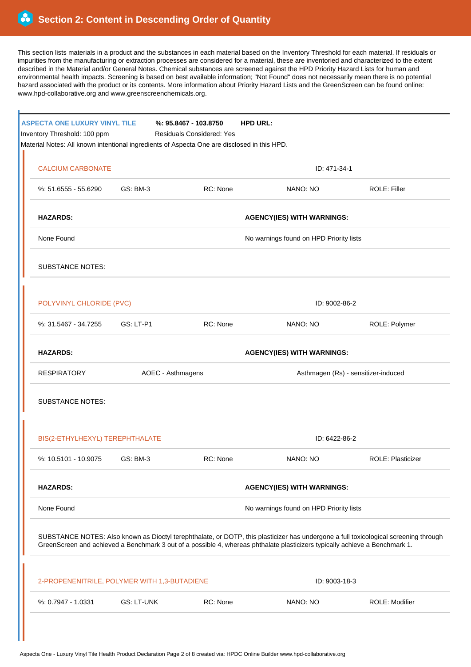This section lists materials in a product and the substances in each material based on the Inventory Threshold for each material. If residuals or impurities from the manufacturing or extraction processes are considered for a material, these are inventoried and characterized to the extent described in the Material and/or General Notes. Chemical substances are screened against the HPD Priority Hazard Lists for human and environmental health impacts. Screening is based on best available information; "Not Found" does not necessarily mean there is no potential hazard associated with the product or its contents. More information about Priority Hazard Lists and the GreenScreen can be found online: www.hpd-collaborative.org and www.greenscreenchemicals.org.

| <b>ASPECTA ONE LUXURY VINYL TILE</b><br>Inventory Threshold: 100 ppm |                   | <b>HPD URL:</b><br>$%: 95.8467 - 103.8750$<br><b>Residuals Considered: Yes</b><br>Material Notes: All known intentional ingredients of Aspecta One are disclosed in this HPD. |                                                                                                                             |                                                                                                                                      |  |
|----------------------------------------------------------------------|-------------------|-------------------------------------------------------------------------------------------------------------------------------------------------------------------------------|-----------------------------------------------------------------------------------------------------------------------------|--------------------------------------------------------------------------------------------------------------------------------------|--|
| <b>CALCIUM CARBONATE</b>                                             |                   |                                                                                                                                                                               | ID: 471-34-1                                                                                                                |                                                                                                                                      |  |
| %: 51.6555 - 55.6290                                                 | <b>GS: BM-3</b>   | RC: None                                                                                                                                                                      | NANO: NO                                                                                                                    | ROLE: Filler                                                                                                                         |  |
| <b>HAZARDS:</b>                                                      |                   |                                                                                                                                                                               | <b>AGENCY(IES) WITH WARNINGS:</b>                                                                                           |                                                                                                                                      |  |
| None Found                                                           |                   |                                                                                                                                                                               | No warnings found on HPD Priority lists                                                                                     |                                                                                                                                      |  |
| <b>SUBSTANCE NOTES:</b>                                              |                   |                                                                                                                                                                               |                                                                                                                             |                                                                                                                                      |  |
| POLYVINYL CHLORIDE (PVC)                                             |                   |                                                                                                                                                                               | ID: 9002-86-2                                                                                                               |                                                                                                                                      |  |
| %: 31.5467 - 34.7255                                                 | <b>GS: LT-P1</b>  | RC: None                                                                                                                                                                      | NANO: NO                                                                                                                    | ROLE: Polymer                                                                                                                        |  |
| <b>HAZARDS:</b>                                                      |                   |                                                                                                                                                                               | <b>AGENCY(IES) WITH WARNINGS:</b>                                                                                           |                                                                                                                                      |  |
| <b>RESPIRATORY</b>                                                   | AOEC - Asthmagens |                                                                                                                                                                               |                                                                                                                             | Asthmagen (Rs) - sensitizer-induced                                                                                                  |  |
| <b>SUBSTANCE NOTES:</b>                                              |                   |                                                                                                                                                                               |                                                                                                                             |                                                                                                                                      |  |
| BIS(2-ETHYLHEXYL) TEREPHTHALATE                                      |                   |                                                                                                                                                                               | ID: 6422-86-2                                                                                                               |                                                                                                                                      |  |
| %: 10.5101 - 10.9075                                                 | <b>GS: BM-3</b>   | RC: None                                                                                                                                                                      | NANO: NO                                                                                                                    | ROLE: Plasticizer                                                                                                                    |  |
| <b>HAZARDS:</b>                                                      |                   |                                                                                                                                                                               | <b>AGENCY(IES) WITH WARNINGS:</b>                                                                                           |                                                                                                                                      |  |
| None Found                                                           |                   |                                                                                                                                                                               | No warnings found on HPD Priority lists                                                                                     |                                                                                                                                      |  |
|                                                                      |                   |                                                                                                                                                                               | GreenScreen and achieved a Benchmark 3 out of a possible 4, whereas phthalate plasticizers typically achieve a Benchmark 1. | SUBSTANCE NOTES: Also known as Dioctyl terephthalate, or DOTP, this plasticizer has undergone a full toxicological screening through |  |
| 2-PROPENENITRILE, POLYMER WITH 1,3-BUTADIENE                         |                   |                                                                                                                                                                               | ID: 9003-18-3                                                                                                               |                                                                                                                                      |  |
| %: 0.7947 - 1.0331                                                   | <b>GS: LT-UNK</b> | RC: None                                                                                                                                                                      | NANO: NO                                                                                                                    | ROLE: Modifier                                                                                                                       |  |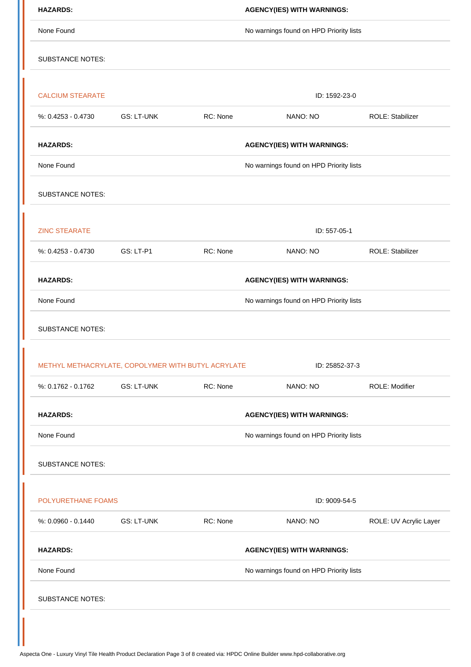| <b>HAZARDS:</b>                                    |                   |          | <b>AGENCY(IES) WITH WARNINGS:</b>       |                         |
|----------------------------------------------------|-------------------|----------|-----------------------------------------|-------------------------|
| None Found                                         |                   |          | No warnings found on HPD Priority lists |                         |
| <b>SUBSTANCE NOTES:</b>                            |                   |          |                                         |                         |
|                                                    |                   |          |                                         |                         |
| <b>CALCIUM STEARATE</b>                            |                   |          | ID: 1592-23-0                           |                         |
| $%: 0.4253 - 0.4730$                               | <b>GS: LT-UNK</b> | RC: None | NANO: NO                                | <b>ROLE: Stabilizer</b> |
| <b>HAZARDS:</b>                                    |                   |          | <b>AGENCY(IES) WITH WARNINGS:</b>       |                         |
| None Found                                         |                   |          | No warnings found on HPD Priority lists |                         |
| <b>SUBSTANCE NOTES:</b>                            |                   |          |                                         |                         |
| <b>ZINC STEARATE</b>                               |                   |          | ID: 557-05-1                            |                         |
| %: 0.4253 - 0.4730                                 | GS: LT-P1         | RC: None | NANO: NO                                | ROLE: Stabilizer        |
| <b>HAZARDS:</b>                                    |                   |          | <b>AGENCY(IES) WITH WARNINGS:</b>       |                         |
| None Found                                         |                   |          | No warnings found on HPD Priority lists |                         |
| <b>SUBSTANCE NOTES:</b>                            |                   |          |                                         |                         |
| METHYL METHACRYLATE, COPOLYMER WITH BUTYL ACRYLATE |                   |          | ID: 25852-37-3                          |                         |
| %: 0.1762 - 0.1762                                 | <b>GS: LT-UNK</b> | RC: None | NANO: NO                                | ROLE: Modifier          |
| <b>HAZARDS:</b>                                    |                   |          | <b>AGENCY(IES) WITH WARNINGS:</b>       |                         |
| None Found                                         |                   |          | No warnings found on HPD Priority lists |                         |
| <b>SUBSTANCE NOTES:</b>                            |                   |          |                                         |                         |
| POLYURETHANE FOAMS                                 |                   |          | ID: 9009-54-5                           |                         |
| %: 0.0960 - 0.1440                                 | <b>GS: LT-UNK</b> | RC: None | NANO: NO                                | ROLE: UV Acrylic Layer  |
| <b>HAZARDS:</b>                                    |                   |          | <b>AGENCY(IES) WITH WARNINGS:</b>       |                         |
| None Found                                         |                   |          | No warnings found on HPD Priority lists |                         |
| <b>SUBSTANCE NOTES:</b>                            |                   |          |                                         |                         |
|                                                    |                   |          |                                         |                         |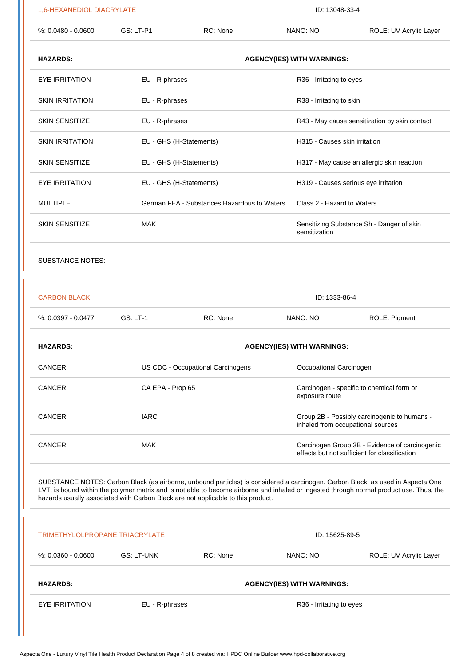| 1,6-HEXANEDIOL DIACRYLATE      |                         | ID: 13048-33-4                                                                                                                                                                                                                                                                                                                                                  |                                   |                                                                                                 |
|--------------------------------|-------------------------|-----------------------------------------------------------------------------------------------------------------------------------------------------------------------------------------------------------------------------------------------------------------------------------------------------------------------------------------------------------------|-----------------------------------|-------------------------------------------------------------------------------------------------|
| $%: 0.0480 - 0.0600$           | GS: LT-P1               | RC: None                                                                                                                                                                                                                                                                                                                                                        | NANO: NO                          | ROLE: UV Acrylic Layer                                                                          |
| <b>HAZARDS:</b>                |                         |                                                                                                                                                                                                                                                                                                                                                                 | <b>AGENCY(IES) WITH WARNINGS:</b> |                                                                                                 |
| <b>EYE IRRITATION</b>          | EU - R-phrases          |                                                                                                                                                                                                                                                                                                                                                                 | R36 - Irritating to eyes          |                                                                                                 |
| <b>SKIN IRRITATION</b>         | EU - R-phrases          |                                                                                                                                                                                                                                                                                                                                                                 | R38 - Irritating to skin          |                                                                                                 |
| <b>SKIN SENSITIZE</b>          | EU - R-phrases          |                                                                                                                                                                                                                                                                                                                                                                 |                                   | R43 - May cause sensitization by skin contact                                                   |
| <b>SKIN IRRITATION</b>         | EU - GHS (H-Statements) |                                                                                                                                                                                                                                                                                                                                                                 | H315 - Causes skin irritation     |                                                                                                 |
| <b>SKIN SENSITIZE</b>          | EU - GHS (H-Statements) |                                                                                                                                                                                                                                                                                                                                                                 |                                   | H317 - May cause an allergic skin reaction                                                      |
| <b>EYE IRRITATION</b>          | EU - GHS (H-Statements) |                                                                                                                                                                                                                                                                                                                                                                 |                                   | H319 - Causes serious eye irritation                                                            |
| <b>MULTIPLE</b>                |                         | German FEA - Substances Hazardous to Waters                                                                                                                                                                                                                                                                                                                     | Class 2 - Hazard to Waters        |                                                                                                 |
| <b>SKIN SENSITIZE</b>          | <b>MAK</b>              |                                                                                                                                                                                                                                                                                                                                                                 | sensitization                     | Sensitizing Substance Sh - Danger of skin                                                       |
| <b>SUBSTANCE NOTES:</b>        |                         |                                                                                                                                                                                                                                                                                                                                                                 |                                   |                                                                                                 |
| <b>CARBON BLACK</b>            |                         |                                                                                                                                                                                                                                                                                                                                                                 | ID: 1333-86-4                     |                                                                                                 |
| %: 0.0397 - 0.0477             | <b>GS: LT-1</b>         | RC: None                                                                                                                                                                                                                                                                                                                                                        | NANO: NO                          | ROLE: Pigment                                                                                   |
| <b>HAZARDS:</b>                |                         |                                                                                                                                                                                                                                                                                                                                                                 | <b>AGENCY(IES) WITH WARNINGS:</b> |                                                                                                 |
| <b>CANCER</b>                  |                         | US CDC - Occupational Carcinogens                                                                                                                                                                                                                                                                                                                               | Occupational Carcinogen           |                                                                                                 |
| <b>CANCER</b>                  | CA EPA - Prop 65        |                                                                                                                                                                                                                                                                                                                                                                 | exposure route                    | Carcinogen - specific to chemical form or                                                       |
| <b>CANCER</b>                  | <b>IARC</b>             |                                                                                                                                                                                                                                                                                                                                                                 |                                   | Group 2B - Possibly carcinogenic to humans -<br>inhaled from occupational sources               |
| <b>CANCER</b>                  | <b>MAK</b>              |                                                                                                                                                                                                                                                                                                                                                                 |                                   | Carcinogen Group 3B - Evidence of carcinogenic<br>effects but not sufficient for classification |
|                                |                         |                                                                                                                                                                                                                                                                                                                                                                 |                                   |                                                                                                 |
|                                |                         | SUBSTANCE NOTES: Carbon Black (as airborne, unbound particles) is considered a carcinogen. Carbon Black, as used in Aspecta One<br>LVT, is bound within the polymer matrix and is not able to become airborne and inhaled or ingested through normal product use. Thus, the<br>hazards usually associated with Carbon Black are not applicable to this product. |                                   |                                                                                                 |
| TRIMETHYLOLPROPANE TRIACRYLATE |                         |                                                                                                                                                                                                                                                                                                                                                                 | ID: 15625-89-5                    |                                                                                                 |
| $%: 0.0360 - 0.0600$           | <b>GS: LT-UNK</b>       | RC: None                                                                                                                                                                                                                                                                                                                                                        | NANO: NO                          | ROLE: UV Acrylic Layer                                                                          |
| <b>HAZARDS:</b>                |                         |                                                                                                                                                                                                                                                                                                                                                                 | <b>AGENCY(IES) WITH WARNINGS:</b> |                                                                                                 |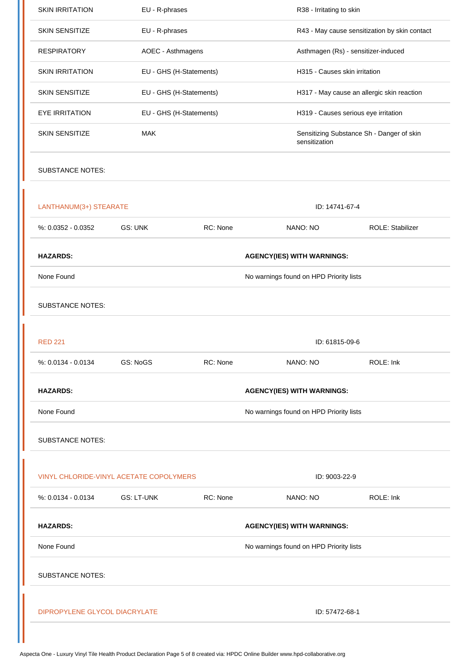| <b>SKIN IRRITATION</b>                  | EU - R-phrases          |          | R38 - Irritating to skin                      |                                           |  |
|-----------------------------------------|-------------------------|----------|-----------------------------------------------|-------------------------------------------|--|
| <b>SKIN SENSITIZE</b>                   | EU - R-phrases          |          | R43 - May cause sensitization by skin contact |                                           |  |
| <b>RESPIRATORY</b>                      | AOEC - Asthmagens       |          | Asthmagen (Rs) - sensitizer-induced           |                                           |  |
| <b>SKIN IRRITATION</b>                  | EU - GHS (H-Statements) |          | H315 - Causes skin irritation                 |                                           |  |
| <b>SKIN SENSITIZE</b>                   | EU - GHS (H-Statements) |          | H317 - May cause an allergic skin reaction    |                                           |  |
| <b>EYE IRRITATION</b>                   | EU - GHS (H-Statements) |          | H319 - Causes serious eye irritation          |                                           |  |
| <b>SKIN SENSITIZE</b>                   | <b>MAK</b>              |          | sensitization                                 | Sensitizing Substance Sh - Danger of skin |  |
| <b>SUBSTANCE NOTES:</b>                 |                         |          |                                               |                                           |  |
| LANTHANUM(3+) STEARATE                  |                         |          | ID: 14741-67-4                                |                                           |  |
| %: 0.0352 - 0.0352                      | <b>GS: UNK</b>          | RC: None | NANO: NO                                      | ROLE: Stabilizer                          |  |
| <b>HAZARDS:</b>                         |                         |          | <b>AGENCY(IES) WITH WARNINGS:</b>             |                                           |  |
| None Found                              |                         |          | No warnings found on HPD Priority lists       |                                           |  |
| <b>SUBSTANCE NOTES:</b>                 |                         |          |                                               |                                           |  |
| <b>RED 221</b>                          |                         |          | ID: 61815-09-6                                |                                           |  |
| %: 0.0134 - 0.0134                      | GS: NoGS                | RC: None | NANO: NO                                      | ROLE: Ink                                 |  |
| <b>HAZARDS:</b>                         |                         |          | <b>AGENCY(IES) WITH WARNINGS:</b>             |                                           |  |
| None Found                              |                         |          | No warnings found on HPD Priority lists       |                                           |  |
|                                         |                         |          |                                               |                                           |  |
| <b>SUBSTANCE NOTES:</b>                 |                         |          |                                               |                                           |  |
| VINYL CHLORIDE-VINYL ACETATE COPOLYMERS |                         |          | ID: 9003-22-9                                 |                                           |  |
| %: 0.0134 - 0.0134                      | GS: LT-UNK              | RC: None | NANO: NO                                      | ROLE: Ink                                 |  |
| <b>HAZARDS:</b>                         |                         |          | <b>AGENCY(IES) WITH WARNINGS:</b>             |                                           |  |
| None Found                              |                         |          | No warnings found on HPD Priority lists       |                                           |  |
| <b>SUBSTANCE NOTES:</b>                 |                         |          |                                               |                                           |  |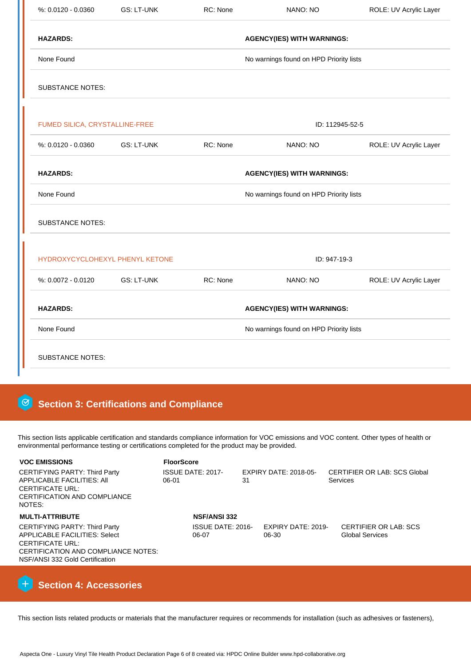| $%: 0.0120 - 0.0360$            | <b>GS: LT-UNK</b> | RC: None | NANO: NO                                | ROLE: UV Acrylic Layer |
|---------------------------------|-------------------|----------|-----------------------------------------|------------------------|
| <b>HAZARDS:</b>                 |                   |          | <b>AGENCY(IES) WITH WARNINGS:</b>       |                        |
| None Found                      |                   |          | No warnings found on HPD Priority lists |                        |
| <b>SUBSTANCE NOTES:</b>         |                   |          |                                         |                        |
| FUMED SILICA, CRYSTALLINE-FREE  |                   |          | ID: 112945-52-5                         |                        |
| $% 0.0120 - 0.0360$             | <b>GS: LT-UNK</b> | RC: None | NANO: NO                                | ROLE: UV Acrylic Layer |
| <b>HAZARDS:</b>                 |                   |          | <b>AGENCY(IES) WITH WARNINGS:</b>       |                        |
| None Found                      |                   |          | No warnings found on HPD Priority lists |                        |
| <b>SUBSTANCE NOTES:</b>         |                   |          |                                         |                        |
| HYDROXYCYCLOHEXYL PHENYL KETONE |                   |          | ID: 947-19-3                            |                        |
| %: 0.0072 - 0.0120              | <b>GS: LT-UNK</b> | RC: None | NANO: NO                                | ROLE: UV Acrylic Layer |
| <b>HAZARDS:</b>                 |                   |          | <b>AGENCY(IES) WITH WARNINGS:</b>       |                        |
| None Found                      |                   |          | No warnings found on HPD Priority lists |                        |
| <b>SUBSTANCE NOTES:</b>         |                   |          |                                         |                        |

# **8** Section 3: Certifications and Compliance

This section lists applicable certification and standards compliance information for VOC emissions and VOC content. Other types of health or environmental performance testing or certifications completed for the product may be provided.

| <b>VOC EMISSIONS</b>                                                                                                                                                       | <b>FloorScore</b> |                            |    |                             |                                                        |
|----------------------------------------------------------------------------------------------------------------------------------------------------------------------------|-------------------|----------------------------|----|-----------------------------|--------------------------------------------------------|
| CERTIFYING PARTY: Third Party<br>APPLICABLE FACILITIES: AII<br><b>CERTIFICATE URL:</b><br>CERTIFICATION AND COMPLIANCE<br>NOTES:                                           | $06-01$           | ISSUE DATE: 2017-          | 31 | EXPIRY DATE: 2018-05-       | <b>CERTIFIER OR LAB: SCS Global</b><br><b>Services</b> |
| <b>MULTI-ATTRIBUTE</b>                                                                                                                                                     |                   | <b>NSF/ANSI 332</b>        |    |                             |                                                        |
| <b>CERTIFYING PARTY: Third Party</b><br>APPLICABLE FACILITIES: Select<br><b>CERTIFICATE URL:</b><br>CERTIFICATION AND COMPLIANCE NOTES:<br>NSF/ANSI 332 Gold Certification |                   | ISSUE DATE: 2016-<br>06-07 |    | EXPIRY DATE: 2019-<br>06-30 | <b>CERTIFIER OR LAB: SCS</b><br><b>Global Services</b> |
|                                                                                                                                                                            |                   |                            |    |                             |                                                        |



This section lists related products or materials that the manufacturer requires or recommends for installation (such as adhesives or fasteners),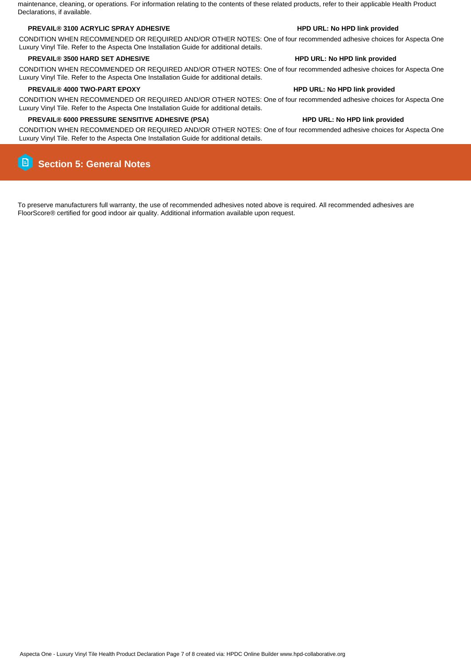Aspecta One - Luxury Vinyl Tile Health Product Declaration Page 7 of 8 created via: HPDC Online Builder www.hpd-collaborative.org

maintenance, cleaning, or operations. For information relating to the contents of these related products, refer to their applicable Health Product Declarations, if available.

### **PREVAIL® 3100 ACRYLIC SPRAY ADHESIVE HPD URL: No HPD link provided**

CONDITION WHEN RECOMMENDED OR REQUIRED AND/OR OTHER NOTES: One of four recommended adhesive choices for Aspecta One Luxury Vinyl Tile. Refer to the Aspecta One Installation Guide for additional details.

#### **PREVAIL® 3500 HARD SET ADHESIVE HPD URL: No HPD link provided**

CONDITION WHEN RECOMMENDED OR REQUIRED AND/OR OTHER NOTES: One of four recommended adhesive choices for Aspecta One Luxury Vinyl Tile. Refer to the Aspecta One Installation Guide for additional details.

### **PREVAIL® 4000 TWO-PART EPOXY HPD URL: No HPD link provided**

CONDITION WHEN RECOMMENDED OR REQUIRED AND/OR OTHER NOTES: One of four recommended adhesive choices for Aspecta One Luxury Vinyl Tile. Refer to the Aspecta One Installation Guide for additional details.

### **PREVAIL® 6000 PRESSURE SENSITIVE ADHESIVE (PSA) HPD URL: No HPD link provided**

CONDITION WHEN RECOMMENDED OR REQUIRED AND/OR OTHER NOTES: One of four recommended adhesive choices for Aspecta One Luxury Vinyl Tile. Refer to the Aspecta One Installation Guide for additional details.

#### $\Box$  **Section 5: General Notes**

To preserve manufacturers full warranty, the use of recommended adhesives noted above is required. All recommended adhesives are FloorScore® certified for good indoor air quality. Additional information available upon request.